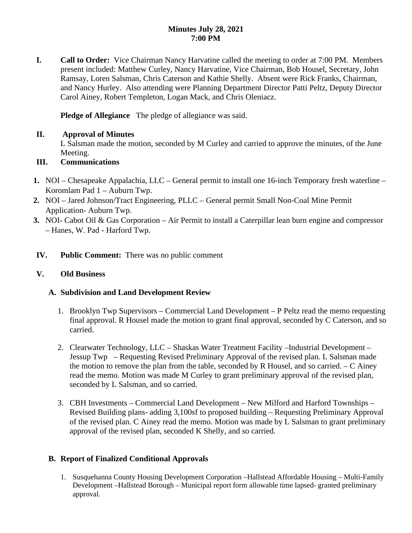## **Minutes July 28, 2021 7:00 PM**

**I. Call to Order:** Vice Chairman Nancy Harvatine called the meeting to order at 7:00 PM. Members present included: Matthew Curley, Nancy Harvatine, Vice Chairman, Bob Housel, Secretary, John Ramsay, Loren Salsman, Chris Caterson and Kathie Shelly. Absent were Rick Franks, Chairman, and Nancy Hurley. Also attending were Planning Department Director Patti Peltz, Deputy Director Carol Ainey, Robert Templeton, Logan Mack, and Chris Oleniacz.

**Pledge of Allegiance** The pledge of allegiance was said.

## **II. Approval of Minutes**

L Salsman made the motion, seconded by M Curley and carried to approve the minutes, of the June Meeting.

# **III. Communications**

- **1.** NOI Chesapeake Appalachia, LLC General permit to install one 16-inch Temporary fresh waterline Koromlam Pad 1 – Auburn Twp.
- **2.** NOI Jared Johnson/Tract Engineering, PLLC General permit Small Non-Coal Mine Permit Application- Auburn Twp.
- **3.** NOI- Cabot Oil & Gas Corporation Air Permit to install a Caterpillar lean burn engine and compressor – Hanes, W. Pad - Harford Twp.
- **IV. Public Comment:** There was no public comment

# **V. Old Business**

# **A. Subdivision and Land Development Review**

- 1. Brooklyn Twp Supervisors Commercial Land Development P Peltz read the memo requesting final approval. R Housel made the motion to grant final approval, seconded by C Caterson, and so carried.
- 2. Clearwater Technology, LLC Shaskas Water Treatment Facility –Industrial Development Jessup Twp – Requesting Revised Preliminary Approval of the revised plan. L Salsman made the motion to remove the plan from the table, seconded by R Housel, and so carried. – C Ainey read the memo. Motion was made M Curley to grant preliminary approval of the revised plan, seconded by L Salsman, and so carried.
- 3. CBH Investments Commercial Land Development New Milford and Harford Townships Revised Building plans- adding 3,100sf to proposed building – Requesting Preliminary Approval of the revised plan. C Ainey read the memo. Motion was made by L Salsman to grant preliminary approval of the revised plan, seconded K Shelly, and so carried.

# **B. Report of Finalized Conditional Approvals**

1. Susquehanna County Housing Development Corporation –Hallstead Affordable Housing – Multi-Family Development –Hallstead Borough – Municipal report form allowable time lapsed- granted preliminary approval.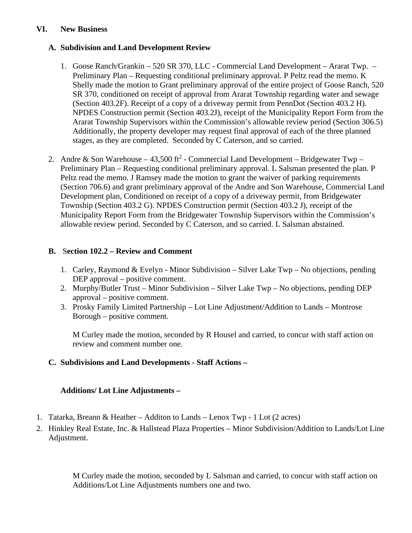### **VI. New Business**

## **A. Subdivision and Land Development Review**

- 1. Goose Ranch/Grankin 520 SR 370, LLC Commercial Land Development Ararat Twp. Preliminary Plan – Requesting conditional preliminary approval. P Peltz read the memo. K Shelly made the motion to Grant preliminary approval of the entire project of Goose Ranch, 520 SR 370, conditioned on receipt of approval from Ararat Township regarding water and sewage (Section 403.2F). Receipt of a copy of a driveway permit from PennDot (Section 403.2 H). NPDES Construction permit (Section 403.2J), receipt of the Municipality Report Form from the Ararat Township Supervisors within the Commission's allowable review period (Section 306.5) Additionally, the property developer may request final approval of each of the three planned stages, as they are completed. Seconded by C Caterson, and so carried.
- 2. Andre & Son Warehouse 43,500 ft<sup>2</sup> Commercial Land Development Bridgewater Twp Preliminary Plan – Requesting conditional preliminary approval. L Salsman presented the plan. P Peltz read the memo. J Ramsey made the motion to grant the waiver of parking requirements (Section 706.6) and grant preliminary approval of the Andre and Son Warehouse, Commercial Land Development plan, Conditioned on receipt of a copy of a driveway permit, from Bridgewater Township (Section 403.2 G). NPDES Construction permit (Section 403.2 J), receipt of the Municipality Report Form from the Bridgewater Township Supervisors within the Commission's allowable review period. Seconded by C Caterson, and so carried. L Salsman abstained.

# **B.** S**ection 102.2 – Review and Comment**

- 1. Carley, Raymond & Evelyn Minor Subdivision Silver Lake Twp No objections, pending DEP approval – positive comment.
- 2. Murphy/Butler Trust Minor Subdivision Silver Lake Twp No objections, pending DEP approval – positive comment.
- 3. Prosky Family Limited Partnership Lot Line Adjustment/Addition to Lands Montrose Borough – positive comment.

M Curley made the motion, seconded by R Housel and carried, to concur with staff action on review and comment number one.

# **C. Subdivisions and Land Developments - Staff Actions –**

## **Additions/ Lot Line Adjustments –**

- 1. Tatarka, Breann & Heather Additon to Lands Lenox Twp 1 Lot (2 acres)
- 2. Hinkley Real Estate, Inc. & Hallstead Plaza Properties Minor Subdivision/Addition to Lands/Lot Line Adjustment.

M Curley made the motion, seconded by L Salsman and carried, to concur with staff action on Additions/Lot Line Adjustments numbers one and two.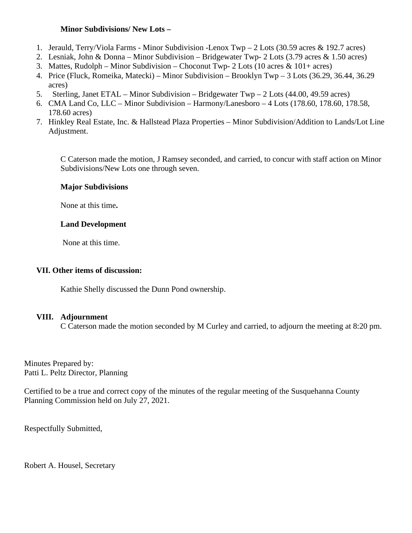### **Minor Subdivisions/ New Lots –**

- 1. Jerauld, Terry/Viola Farms Minor Subdivision -Lenox Twp 2 Lots (30.59 acres & 192.7 acres)
- 2. Lesniak, John & Donna Minor Subdivision Bridgewater Twp- 2 Lots (3.79 acres & 1.50 acres)
- 3. Mattes, Rudolph Minor Subdivision Choconut Twp- 2 Lots (10 acres & 101+ acres)
- 4. Price (Fluck, Romeika, Matecki) Minor Subdivision Brooklyn Twp 3 Lots (36.29, 36.44, 36.29 acres)
- 5. Sterling, Janet ETAL Minor Subdivision Bridgewater Twp 2 Lots (44.00, 49.59 acres)
- 6. CMA Land Co, LLC Minor Subdivision Harmony/Lanesboro 4 Lots (178.60, 178.60, 178.58, 178.60 acres)
- 7. Hinkley Real Estate, Inc. & Hallstead Plaza Properties Minor Subdivision/Addition to Lands/Lot Line Adjustment.

C Caterson made the motion, J Ramsey seconded, and carried, to concur with staff action on Minor Subdivisions/New Lots one through seven.

## **Major Subdivisions**

None at this time**.**

## **Land Development**

None at this time.

## **VII. Other items of discussion:**

Kathie Shelly discussed the Dunn Pond ownership.

# **VIII. Adjournment**

C Caterson made the motion seconded by M Curley and carried, to adjourn the meeting at 8:20 pm.

Minutes Prepared by: Patti L. Peltz Director, Planning

Certified to be a true and correct copy of the minutes of the regular meeting of the Susquehanna County Planning Commission held on July 27, 2021.

Respectfully Submitted,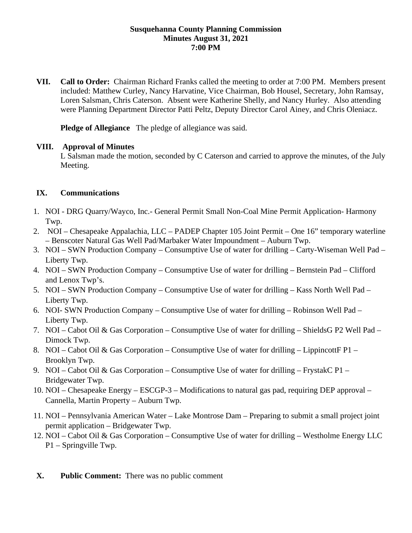### **Susquehanna County Planning Commission Minutes August 31, 2021 7:00 PM**

**VII. Call to Order:** Chairman Richard Franks called the meeting to order at 7:00 PM. Members present included: Matthew Curley, Nancy Harvatine, Vice Chairman, Bob Housel, Secretary, John Ramsay, Loren Salsman, Chris Caterson. Absent were Katherine Shelly, and Nancy Hurley. Also attending were Planning Department Director Patti Peltz, Deputy Director Carol Ainey, and Chris Oleniacz.

**Pledge of Allegiance** The pledge of allegiance was said.

### **VIII. Approval of Minutes**

L Salsman made the motion, seconded by C Caterson and carried to approve the minutes, of the July Meeting.

## **IX. Communications**

- 1. NOI DRG Quarry/Wayco, Inc.- General Permit Small Non-Coal Mine Permit Application- Harmony Twp.
- 2. NOI Chesapeake Appalachia, LLC PADEP Chapter 105 Joint Permit One 16" temporary waterline – Benscoter Natural Gas Well Pad/Marbaker Water Impoundment – Auburn Twp.
- 3. NOI SWN Production Company Consumptive Use of water for drilling Carty-Wiseman Well Pad Liberty Twp.
- 4. NOI SWN Production Company Consumptive Use of water for drilling Bernstein Pad Clifford and Lenox Twp's.
- 5. NOI SWN Production Company Consumptive Use of water for drilling Kass North Well Pad Liberty Twp.
- 6. NOI- SWN Production Company Consumptive Use of water for drilling Robinson Well Pad Liberty Twp.
- 7. NOI Cabot Oil & Gas Corporation Consumptive Use of water for drilling ShieldsG P2 Well Pad Dimock Twp.
- 8. NOI Cabot Oil & Gas Corporation Consumptive Use of water for drilling Lippincott F P1 Brooklyn Twp.
- 9. NOI Cabot Oil & Gas Corporation Consumptive Use of water for drilling FrystakC P1 Bridgewater Twp.
- 10. NOI Chesapeake Energy ESCGP-3 Modifications to natural gas pad, requiring DEP approval Cannella, Martin Property – Auburn Twp.
- 11. NOI Pennsylvania American Water Lake Montrose Dam Preparing to submit a small project joint permit application – Bridgewater Twp.
- 12. NOI Cabot Oil & Gas Corporation Consumptive Use of water for drilling Westholme Energy LLC P1 – Springville Twp.
- **X. Public Comment:** There was no public comment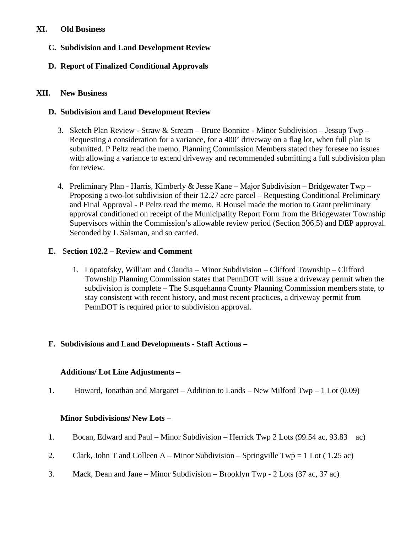## **XI. Old Business**

- **C. Subdivision and Land Development Review**
- **D. Report of Finalized Conditional Approvals**

## **XII. New Business**

## **D. Subdivision and Land Development Review**

- 3. Sketch Plan Review Straw & Stream Bruce Bonnice Minor Subdivision Jessup Twp Requesting a consideration for a variance, for a 400' driveway on a flag lot, when full plan is submitted. P Peltz read the memo. Planning Commission Members stated they foresee no issues with allowing a variance to extend driveway and recommended submitting a full subdivision plan for review.
- 4. Preliminary Plan Harris, Kimberly & Jesse Kane Major Subdivision Bridgewater Twp Proposing a two-lot subdivision of their 12.27 acre parcel – Requesting Conditional Preliminary and Final Approval - P Peltz read the memo. R Housel made the motion to Grant preliminary approval conditioned on receipt of the Municipality Report Form from the Bridgewater Township Supervisors within the Commission's allowable review period (Section 306.5) and DEP approval. Seconded by L Salsman, and so carried.

# **E.** S**ection 102.2 – Review and Comment**

1. Lopatofsky, William and Claudia – Minor Subdivision – Clifford Township – Clifford Township Planning Commission states that PennDOT will issue a driveway permit when the subdivision is complete – The Susquehanna County Planning Commission members state, to stay consistent with recent history, and most recent practices, a driveway permit from PennDOT is required prior to subdivision approval.

# **F. Subdivisions and Land Developments - Staff Actions –**

## **Additions/ Lot Line Adjustments –**

1. Howard, Jonathan and Margaret – Addition to Lands – New Milford Twp – 1 Lot (0.09)

## **Minor Subdivisions/ New Lots –**

- 1. Bocan, Edward and Paul Minor Subdivision Herrick Twp 2 Lots (99.54 ac, 93.83 ac)
- 2. Clark, John T and Colleen  $A -$ Minor Subdivision Springville Twp = 1 Lot (1.25 ac)
- 3. Mack, Dean and Jane Minor Subdivision Brooklyn Twp 2 Lots (37 ac, 37 ac)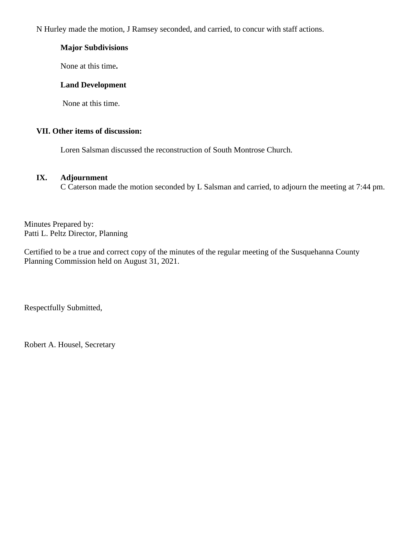N Hurley made the motion, J Ramsey seconded, and carried, to concur with staff actions.

## **Major Subdivisions**

None at this time**.**

## **Land Development**

None at this time.

# **VII. Other items of discussion:**

Loren Salsman discussed the reconstruction of South Montrose Church.

### **IX. Adjournment**

C Caterson made the motion seconded by L Salsman and carried, to adjourn the meeting at 7:44 pm.

Minutes Prepared by: Patti L. Peltz Director, Planning

Certified to be a true and correct copy of the minutes of the regular meeting of the Susquehanna County Planning Commission held on August 31, 2021.

Respectfully Submitted,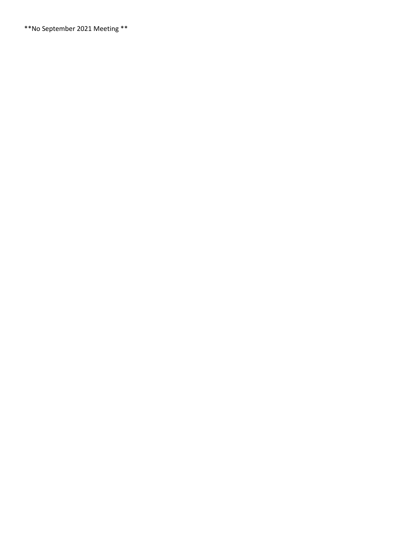\*\*No September 2021 Meeting \*\*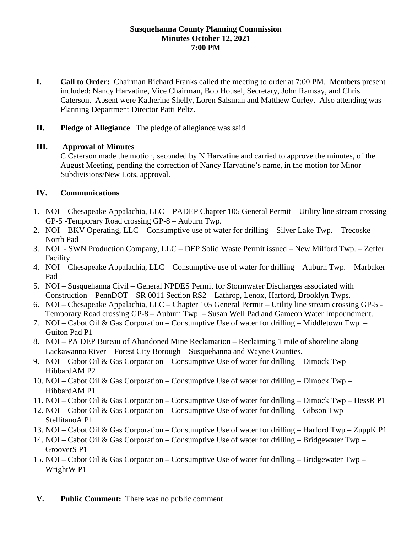### **Susquehanna County Planning Commission Minutes October 12, 2021 7:00 PM**

- **I. Call to Order:** Chairman Richard Franks called the meeting to order at 7:00 PM. Members present included: Nancy Harvatine, Vice Chairman, Bob Housel, Secretary, John Ramsay, and Chris Caterson. Absent were Katherine Shelly, Loren Salsman and Matthew Curley. Also attending was Planning Department Director Patti Peltz.
- **II. Pledge of Allegiance** The pledge of allegiance was said.

## **III. Approval of Minutes**

C Caterson made the motion, seconded by N Harvatine and carried to approve the minutes, of the August Meeting, pending the correction of Nancy Harvatine's name, in the motion for Minor Subdivisions/New Lots, approval.

# **IV. Communications**

- 1. NOI Chesapeake Appalachia, LLC PADEP Chapter 105 General Permit Utility line stream crossing GP-5 -Temporary Road crossing GP-8 – Auburn Twp.
- 2. NOI BKV Operating, LLC Consumptive use of water for drilling Silver Lake Twp. Trecoske North Pad
- 3. NOI SWN Production Company, LLC DEP Solid Waste Permit issued New Milford Twp. Zeffer Facility
- 4. NOI Chesapeake Appalachia, LLC Consumptive use of water for drilling Auburn Twp. Marbaker Pad
- 5. NOI Susquehanna Civil General NPDES Permit for Stormwater Discharges associated with Construction – PennDOT – SR 0011 Section RS2 – Lathrop, Lenox, Harford, Brooklyn Twps.
- 6. NOI Chesapeake Appalachia, LLC Chapter 105 General Permit Utility line stream crossing GP-5 Temporary Road crossing GP-8 – Auburn Twp. – Susan Well Pad and Gameon Water Impoundment.
- 7. NOI Cabot Oil & Gas Corporation Consumptive Use of water for drilling Middletown Twp. Guiton Pad P1
- 8. NOI PA DEP Bureau of Abandoned Mine Reclamation Reclaiming 1 mile of shoreline along Lackawanna River – Forest City Borough – Susquehanna and Wayne Counties.
- 9. NOI Cabot Oil & Gas Corporation Consumptive Use of water for drilling Dimock Twp HibbardAM P2
- 10. NOI Cabot Oil & Gas Corporation Consumptive Use of water for drilling Dimock Twp HibbardAM P1
- 11. NOI Cabot Oil & Gas Corporation Consumptive Use of water for drilling Dimock Twp HessR P1
- 12. NOI Cabot Oil & Gas Corporation Consumptive Use of water for drilling Gibson Twp StellitanoA P1
- 13. NOI Cabot Oil & Gas Corporation Consumptive Use of water for drilling Harford Twp ZuppK P1
- 14. NOI Cabot Oil & Gas Corporation Consumptive Use of water for drilling Bridgewater Twp GrooverS P1
- 15. NOI Cabot Oil & Gas Corporation Consumptive Use of water for drilling Bridgewater Twp WrightW P1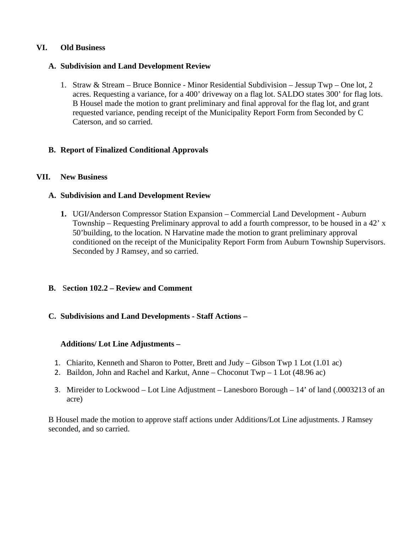### **VI. Old Business**

### **A. Subdivision and Land Development Review**

1. Straw & Stream – Bruce Bonnice - Minor Residential Subdivision – Jessup Twp – One lot, 2 acres. Requesting a variance, for a 400' driveway on a flag lot. SALDO states 300' for flag lots. B Housel made the motion to grant preliminary and final approval for the flag lot, and grant requested variance, pending receipt of the Municipality Report Form from Seconded by C Caterson, and so carried.

## **B. Report of Finalized Conditional Approvals**

### **VII. New Business**

## **A. Subdivision and Land Development Review**

**1.** UGI**/**Anderson Compressor Station Expansion – Commercial Land Development - Auburn Township – Requesting Preliminary approval to add a fourth compressor, to be housed in a 42' x 50'building, to the location. N Harvatine made the motion to grant preliminary approval conditioned on the receipt of the Municipality Report Form from Auburn Township Supervisors. Seconded by J Ramsey, and so carried.

## **B.** S**ection 102.2 – Review and Comment**

## **C. Subdivisions and Land Developments - Staff Actions –**

## **Additions/ Lot Line Adjustments –**

- 1. Chiarito, Kenneth and Sharon to Potter, Brett and Judy Gibson Twp 1 Lot (1.01 ac)
- 2. Baildon, John and Rachel and Karkut, Anne Choconut Twp 1 Lot (48.96 ac)
- 3. Mireider to Lockwood Lot Line Adjustment Lanesboro Borough 14' of land (.0003213 of an acre)

B Housel made the motion to approve staff actions under Additions/Lot Line adjustments. J Ramsey seconded, and so carried.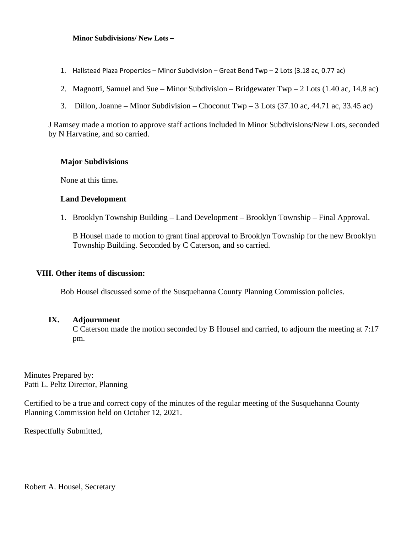#### **Minor Subdivisions/ New Lots –**

- 1. Hallstead Plaza Properties Minor Subdivision Great Bend Twp 2 Lots (3.18 ac, 0.77 ac)
- 2. Magnotti, Samuel and Sue Minor Subdivision Bridgewater Twp 2 Lots (1.40 ac, 14.8 ac)
- 3. Dillon, Joanne Minor Subdivision Choconut Twp 3 Lots (37.10 ac, 44.71 ac, 33.45 ac)

J Ramsey made a motion to approve staff actions included in Minor Subdivisions/New Lots, seconded by N Harvatine, and so carried.

#### **Major Subdivisions**

None at this time**.**

#### **Land Development**

1. Brooklyn Township Building – Land Development – Brooklyn Township – Final Approval.

B Housel made to motion to grant final approval to Brooklyn Township for the new Brooklyn Township Building. Seconded by C Caterson, and so carried.

#### **VIII. Other items of discussion:**

Bob Housel discussed some of the Susquehanna County Planning Commission policies.

### **IX. Adjournment**

C Caterson made the motion seconded by B Housel and carried, to adjourn the meeting at 7:17 pm.

Minutes Prepared by: Patti L. Peltz Director, Planning

Certified to be a true and correct copy of the minutes of the regular meeting of the Susquehanna County Planning Commission held on October 12, 2021.

Respectfully Submitted,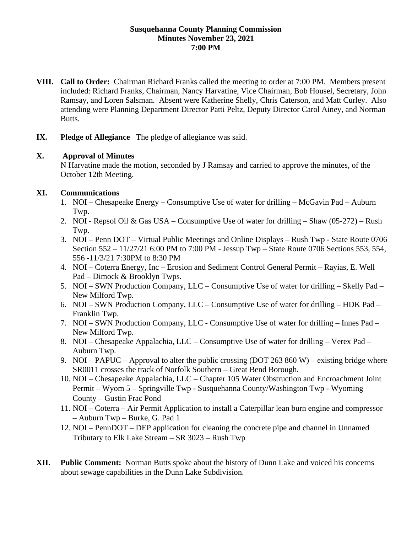### **Susquehanna County Planning Commission Minutes November 23, 2021 7:00 PM**

- **VIII. Call to Order:** Chairman Richard Franks called the meeting to order at 7:00 PM. Members present included: Richard Franks, Chairman, Nancy Harvatine, Vice Chairman, Bob Housel, Secretary, John Ramsay, and Loren Salsman. Absent were Katherine Shelly, Chris Caterson, and Matt Curley. Also attending were Planning Department Director Patti Peltz, Deputy Director Carol Ainey, and Norman Butts.
- **IX. Pledge of Allegiance** The pledge of allegiance was said.

## **X. Approval of Minutes**

N Harvatine made the motion, seconded by J Ramsay and carried to approve the minutes, of the October 12th Meeting.

## **XI. Communications**

- 1. NOI Chesapeake Energy Consumptive Use of water for drilling McGavin Pad Auburn Twp.
- 2. NOI Repsol Oil & Gas USA Consumptive Use of water for drilling Shaw (05-272) Rush Twp.
- 3. NOI Penn DOT Virtual Public Meetings and Online Displays Rush Twp State Route 0706 Section 552 – 11/27/21 6:00 PM to 7:00 PM - Jessup Twp – State Route 0706 Sections 553, 554, 556 -11/3/21 7:30PM to 8:30 PM
- 4. NOI Coterra Energy, Inc Erosion and Sediment Control General Permit Rayias, E. Well Pad – Dimock & Brooklyn Twps.
- 5. NOI SWN Production Company, LLC Consumptive Use of water for drilling Skelly Pad New Milford Twp.
- 6. NOI SWN Production Company, LLC Consumptive Use of water for drilling HDK Pad Franklin Twp.
- 7. NOI SWN Production Company, LLC Consumptive Use of water for drilling Innes Pad New Milford Twp.
- 8. NOI Chesapeake Appalachia, LLC Consumptive Use of water for drilling Verex Pad Auburn Twp.
- 9. NOI PAPUC Approval to alter the public crossing (DOT 263 860 W) existing bridge where SR0011 crosses the track of Norfolk Southern – Great Bend Borough.
- 10. NOI Chesapeake Appalachia, LLC Chapter 105 Water Obstruction and Encroachment Joint Permit – Wyom 5 – Springville Twp - Susquehanna County/Washington Twp - Wyoming County – Gustin Frac Pond
- 11. NOI Coterra Air Permit Application to install a Caterpillar lean burn engine and compressor – Auburn Twp – Burke, G. Pad 1
- 12. NOI PennDOT DEP application for cleaning the concrete pipe and channel in Unnamed Tributary to Elk Lake Stream – SR 3023 – Rush Twp
- **XII. Public Comment:** Norman Butts spoke about the history of Dunn Lake and voiced his concerns about sewage capabilities in the Dunn Lake Subdivision.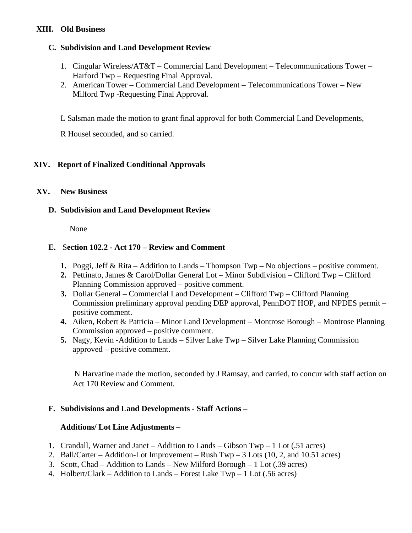# **XIII. Old Business**

## **C. Subdivision and Land Development Review**

- 1. Cingular Wireless/AT&T Commercial Land Development Telecommunications Tower Harford Twp – Requesting Final Approval.
- 2. American Tower Commercial Land Development Telecommunications Tower New Milford Twp -Requesting Final Approval.

L Salsman made the motion to grant final approval for both Commercial Land Developments,

R Housel seconded, and so carried.

# **XIV. Report of Finalized Conditional Approvals**

## **XV. New Business**

## **D. Subdivision and Land Development Review**

None

## **E.** S**ection 102.2 - Act 170 – Review and Comment**

- **1.** Poggi, Jeff & Rita Addition to Lands Thompson Twp **–** No objections positive comment.
- **2.** Pettinato, James & Carol/Dollar General Lot Minor Subdivision Clifford Twp Clifford Planning Commission approved – positive comment.
- **3.** Dollar General Commercial Land Development Clifford Twp Clifford Planning Commission preliminary approval pending DEP approval, PennDOT HOP, and NPDES permit – positive comment.
- **4.** Aiken, Robert & Patricia Minor Land Development Montrose Borough Montrose Planning Commission approved – positive comment.
- **5.** Nagy, Kevin -Addition to Lands Silver Lake Twp Silver Lake Planning Commission approved – positive comment.

N Harvatine made the motion, seconded by J Ramsay, and carried, to concur with staff action on Act 170 Review and Comment.

## **F. Subdivisions and Land Developments - Staff Actions –**

## **Additions/ Lot Line Adjustments –**

- 1. Crandall, Warner and Janet Addition to Lands Gibson Twp 1 Lot (.51 acres)
- 2. Ball/Carter Addition-Lot Improvement Rush Twp 3 Lots (10, 2, and 10.51 acres)
- 3. Scott, Chad Addition to Lands New Milford Borough 1 Lot (.39 acres)
- 4. Holbert/Clark Addition to Lands Forest Lake Twp 1 Lot (.56 acres)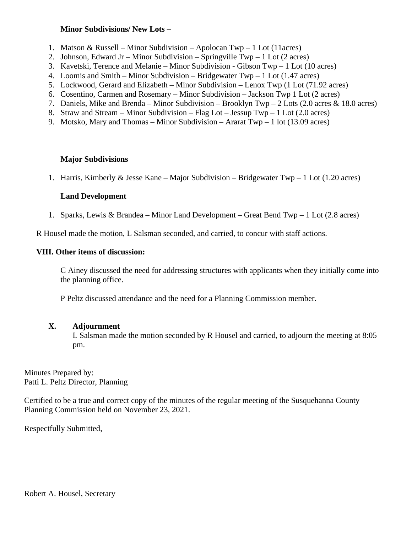### **Minor Subdivisions/ New Lots –**

- 1. Matson & Russell Minor Subdivision Apolocan Twp 1 Lot (11acres)
- 2. Johnson, Edward Jr Minor Subdivision Springville  $Twp 1$  Lot (2 acres)
- 3. Kavetski, Terence and Melanie Minor Subdivision Gibson Twp 1 Lot (10 acres)
- 4. Loomis and Smith Minor Subdivision Bridgewater Twp 1 Lot (1.47 acres)
- 5. Lockwood, Gerard and Elizabeth Minor Subdivision Lenox Twp (1 Lot (71.92 acres)
- 6. Cosentino, Carmen and Rosemary Minor Subdivision Jackson Twp 1 Lot (2 acres)
- 7. Daniels, Mike and Brenda Minor Subdivision Brooklyn Twp 2 Lots (2.0 acres & 18.0 acres)
- 8. Straw and Stream Minor Subdivision Flag Lot Jessup Twp 1 Lot (2.0 acres)
- 9. Motsko, Mary and Thomas Minor Subdivision Ararat Twp 1 lot (13.09 acres)

## **Major Subdivisions**

1. Harris, Kimberly & Jesse Kane – Major Subdivision – Bridgewater Twp – 1 Lot (1.20 acres)

# **Land Development**

1. Sparks, Lewis & Brandea – Minor Land Development – Great Bend Twp – 1 Lot (2.8 acres)

R Housel made the motion, L Salsman seconded, and carried, to concur with staff actions.

### **VIII. Other items of discussion:**

C Ainey discussed the need for addressing structures with applicants when they initially come into the planning office.

P Peltz discussed attendance and the need for a Planning Commission member.

## **X. Adjournment**

L Salsman made the motion seconded by R Housel and carried, to adjourn the meeting at 8:05 pm.

Minutes Prepared by: Patti L. Peltz Director, Planning

Certified to be a true and correct copy of the minutes of the regular meeting of the Susquehanna County Planning Commission held on November 23, 2021.

Respectfully Submitted,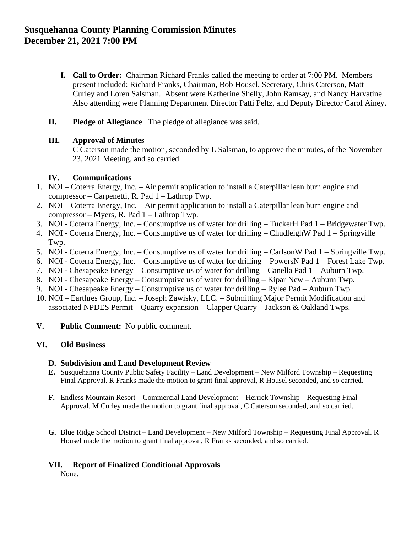# **Susquehanna County Planning Commission Minutes December 21, 2021 7:00 PM**

- **I. Call to Order:** Chairman Richard Franks called the meeting to order at 7:00 PM. Members present included: Richard Franks, Chairman, Bob Housel, Secretary, Chris Caterson, Matt Curley and Loren Salsman. Absent were Katherine Shelly, John Ramsay, and Nancy Harvatine. Also attending were Planning Department Director Patti Peltz, and Deputy Director Carol Ainey.
- **II. Pledge of Allegiance** The pledge of allegiance was said.

### **III. Approval of Minutes**

C Caterson made the motion, seconded by L Salsman, to approve the minutes, of the November 23, 2021 Meeting, and so carried.

### **IV. Communications**

- 1. NOI Coterra Energy, Inc. Air permit application to install a Caterpillar lean burn engine and compressor – Carpenetti, R. Pad 1 – Lathrop Twp.
- 2. NOI Coterra Energy, Inc. Air permit application to install a Caterpillar lean burn engine and compressor – Myers, R. Pad 1 – Lathrop Twp.
- 3. NOI Coterra Energy, Inc. Consumptive us of water for drilling TuckerH Pad 1 Bridgewater Twp.
- 4. NOI Coterra Energy, Inc. Consumptive us of water for drilling ChudleighW Pad 1 Springville Twp.
- 5. NOI Coterra Energy, Inc. Consumptive us of water for drilling CarlsonW Pad 1 Springville Twp.
- 6. NOI Coterra Energy, Inc. Consumptive us of water for drilling PowersN Pad 1 Forest Lake Twp.
- 7. NOI Chesapeake Energy Consumptive us of water for drilling Canella Pad 1 Auburn Twp.
- 8. NOI Chesapeake Energy Consumptive us of water for drilling Kipar New Auburn Twp.
- 9. NOI Chesapeake Energy Consumptive us of water for drilling Rylee Pad Auburn Twp.
- 10. NOI Earthres Group, Inc. Joseph Zawisky, LLC. Submitting Major Permit Modification and associated NPDES Permit – Quarry expansion – Clapper Quarry – Jackson & Oakland Twps.
- **V. Public Comment:** No public comment.

## **VI. Old Business**

### **D. Subdivision and Land Development Review**

- **E.** Susquehanna County Public Safety Facility Land Development New Milford Township Requesting Final Approval. R Franks made the motion to grant final approval, R Housel seconded, and so carried.
- **F.** Endless Mountain Resort Commercial Land Development Herrick Township Requesting Final Approval. M Curley made the motion to grant final approval, C Caterson seconded, and so carried.
- **G.** Blue Ridge School District Land Development New Milford Township Requesting Final Approval. R Housel made the motion to grant final approval, R Franks seconded, and so carried.

## **VII. Report of Finalized Conditional Approvals**

None.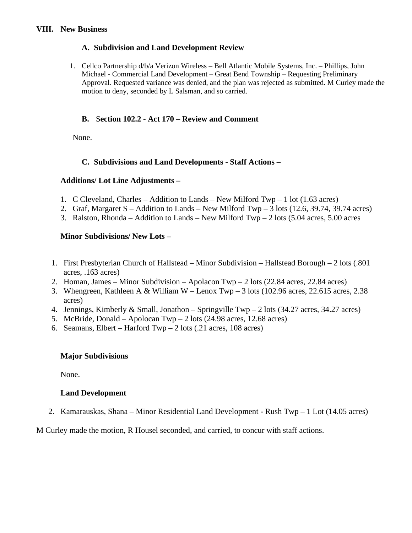### **VIII. New Business**

### **A. Subdivision and Land Development Review**

1. Cellco Partnership d/b/a Verizon Wireless – Bell Atlantic Mobile Systems, Inc. – Phillips, John Michael - Commercial Land Development – Great Bend Township – Requesting Preliminary Approval. Requested variance was denied, and the plan was rejected as submitted. M Curley made the motion to deny, seconded by L Salsman, and so carried.

## **B.** S**ection 102.2 - Act 170 – Review and Comment**

None.

# **C. Subdivisions and Land Developments - Staff Actions –**

## **Additions/ Lot Line Adjustments –**

- 1. C Cleveland, Charles Addition to Lands New Milford Twp 1 lot (1.63 acres)
- 2. Graf, Margaret S Addition to Lands New Milford Twp 3 lots  $(12.6, 39.74, 39.74 \text{ acres})$
- 3. Ralston, Rhonda Addition to Lands New Milford Twp 2 lots  $(5.04 \text{ acres}, 5.00 \text{ acres})$

### **Minor Subdivisions/ New Lots –**

- 1. First Presbyterian Church of Hallstead Minor Subdivision Hallstead Borough 2 lots (.801 acres, .163 acres)
- 2. Homan, James Minor Subdivision Apolacon Twp 2 lots (22.84 acres, 22.84 acres)
- 3. Whengreen, Kathleen A & William W Lenox Twp 3 lots (102.96 acres, 22.615 acres, 2.38 acres)
- 4. Jennings, Kimberly & Small, Jonathon Springville Twp 2 lots (34.27 acres, 34.27 acres)
- 5. McBride, Donald Apolocan Twp 2 lots (24.98 acres, 12.68 acres)
- 6. Seamans, Elbert Harford Twp 2 lots (.21 acres, 108 acres)

### **Major Subdivisions**

None.

### **Land Development**

2. Kamarauskas, Shana – Minor Residential Land Development - Rush Twp – 1 Lot (14.05 acres)

M Curley made the motion, R Housel seconded, and carried, to concur with staff actions.